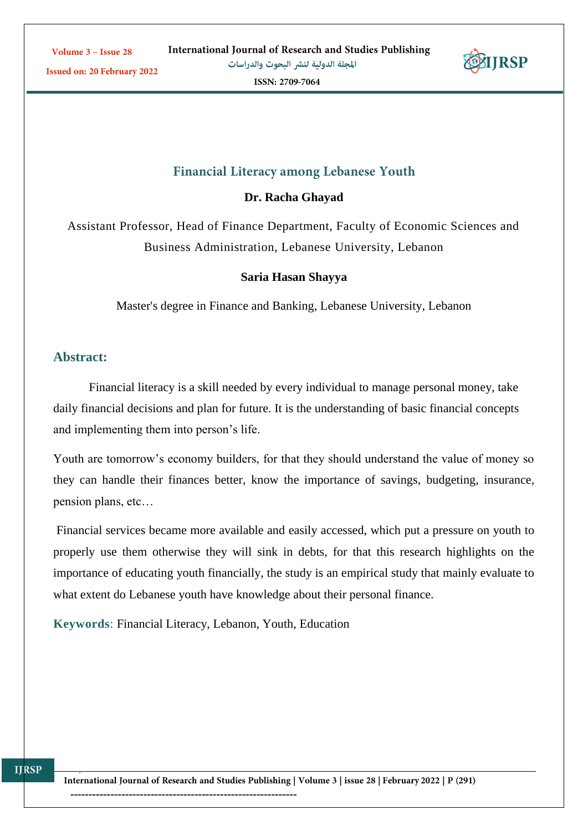**Issued on: 20 February 2022** 



ISSN: 2709-7064

# **Financial Literacy among Lebanese Youth**

**Dr. Racha Ghayad**

Assistant Professor, Head of Finance Department, Faculty of Economic Sciences and Business Administration, Lebanese University, Lebanon

#### **Saria Hasan Shayya**

Master's degree in Finance and Banking, Lebanese University, Lebanon

# **Abstract:**

Financial literacy is a skill needed by every individual to manage personal money, take daily financial decisions and plan for future. It is the understanding of basic financial concepts and implementing them into person's life.

Youth are tomorrow's economy builders, for that they should understand the value of money so they can handle their finances better, know the importance of savings, budgeting, insurance, pension plans, etc…

Financial services became more available and easily accessed, which put a pressure on youth to properly use them otherwise they will sink in debts, for that this research highlights on the importance of educating youth financially, the study is an empirical study that mainly evaluate to what extent do Lebanese youth have knowledge about their personal finance.

**Keywords**: Financial Literacy, Lebanon, Youth, Education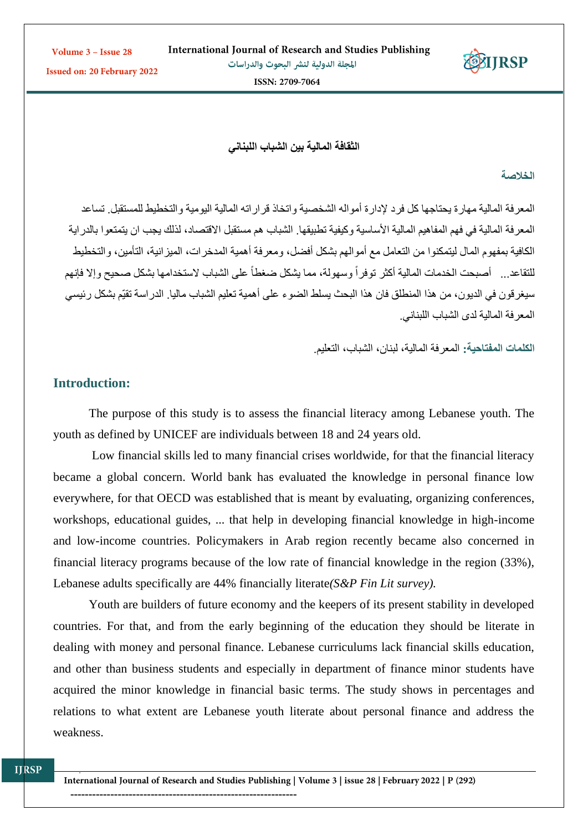**Issued on: 20 February 2022** 

ISSN: 2709-7064

**IIRSP** 

**الثقافة المالية بين الشباب اللبناني** 

**الخالصة**

المعرفة المالية مهارة يحتاجها كل فرد إلدارة أمواله الشخصية واتخاذ قراراته المالية اليومية والتخطيط للمستقبل. تساعد المعرفة المالية في فهم المفاهيم المالية الأساسية وكيفية تطبيقها. الشباب هم مستقبل الاقتصاد، لذلك يجب ان يتمتعوا بالدر اية الكافية بمفهوم المال ليتمكنوا من التعامل مع أموالهم بشكل أفضل، ومعرفة أهمية المدخرات، الميزانية، التأمين، والتخطيط للتقاعد ... أصبحت الخدمات المالية أكثر توفراً وسهولة، مما يشكل ضغطاً على الشباب لاستخدامها بشكل صحيح وإلا فإنهم سيغرقون في الديون، من هذا المنطلق فان هذا البحث يسلط الضوء على أهمية تعليم الشباب ماليا. الدراسة تقيّم بشكل رئيسي المعرفة المالية لدى الشباب اللبناني.

**الكلمات المفتاحية:** المعرفة المالية، لبنان، الشباب، التعليم.

# **Introduction:**

The purpose of this study is to assess the financial literacy among Lebanese youth. The youth as defined by UNICEF are individuals between 18 and 24 years old.

Low financial skills led to many financial crises worldwide, for that the financial literacy became a global concern. World bank has evaluated the knowledge in personal finance low everywhere, for that OECD was established that is meant by evaluating, organizing conferences, workshops, educational guides, ... that help in developing financial knowledge in high-income and low-income countries. Policymakers in Arab region recently became also concerned in financial literacy programs because of the low rate of financial knowledge in the region (33%), Lebanese adults specifically are 44% financially literate*(S&P Fin Lit survey).*

Youth are builders of future economy and the keepers of its present stability in developed countries. For that, and from the early beginning of the education they should be literate in dealing with money and personal finance. Lebanese curriculums lack financial skills education, and other than business students and especially in department of finance minor students have acquired the minor knowledge in financial basic terms. The study shows in percentages and relations to what extent are Lebanese youth literate about personal finance and address the weakness.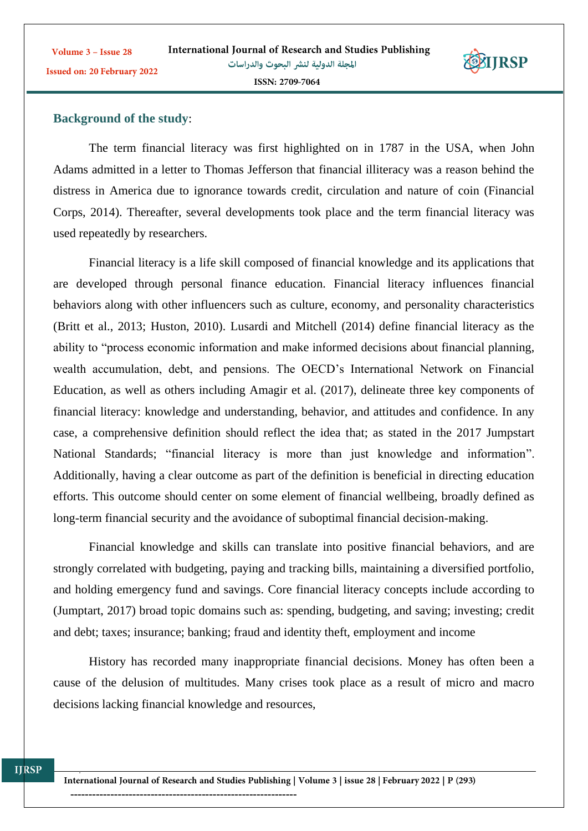

# **Background of the study**:

The term financial literacy was first highlighted on in 1787 in the USA, when John Adams admitted in a letter to Thomas Jefferson that financial illiteracy was a reason behind the distress in America due to ignorance towards credit, circulation and nature of coin (Financial Corps, 2014). Thereafter, several developments took place and the term financial literacy was used repeatedly by researchers.

Financial literacy is a life skill composed of financial knowledge and its applications that are developed through personal finance education. Financial literacy influences financial behaviors along with other influencers such as culture, economy, and personality characteristics (Britt et al., 2013; Huston, 2010). Lusardi and Mitchell (2014) define financial literacy as the ability to "process economic information and make informed decisions about financial planning, wealth accumulation, debt, and pensions. The OECD's International Network on Financial Education, as well as others including Amagir et al. (2017), delineate three key components of financial literacy: knowledge and understanding, behavior, and attitudes and confidence. In any case, a comprehensive definition should reflect the idea that; as stated in the 2017 Jumpstart National Standards; "financial literacy is more than just knowledge and information". Additionally, having a clear outcome as part of the definition is beneficial in directing education efforts. This outcome should center on some element of financial wellbeing, broadly defined as long-term financial security and the avoidance of suboptimal financial decision-making.

Financial knowledge and skills can translate into positive financial behaviors, and are strongly correlated with budgeting, paying and tracking bills, maintaining a diversified portfolio, and holding emergency fund and savings. Core financial literacy concepts include according to (Jumptart, 2017) broad topic domains such as: spending, budgeting, and saving; investing; credit and debt; taxes; insurance; banking; fraud and identity theft, employment and income

History has recorded many inappropriate financial decisions. Money has often been a cause of the delusion of multitudes. Many crises took place as a result of micro and macro decisions lacking financial knowledge and resources,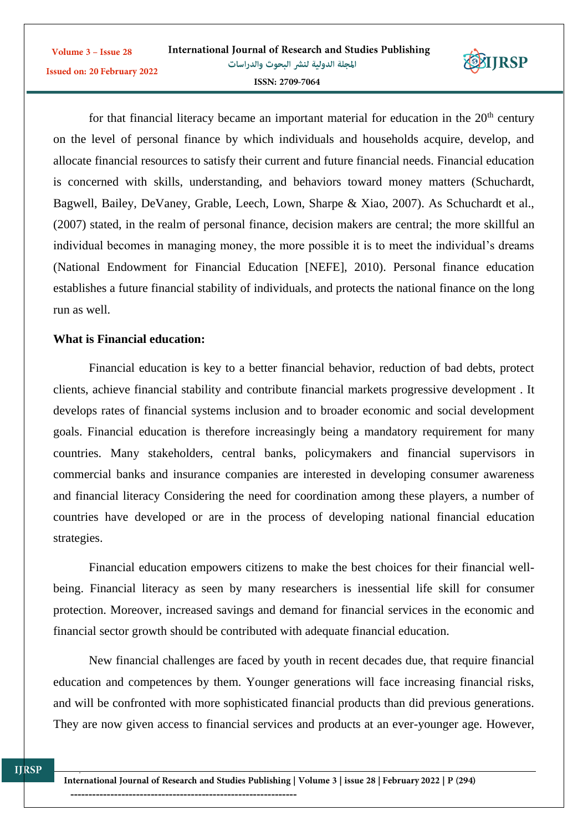

for that financial literacy became an important material for education in the  $20<sup>th</sup>$  century on the level of personal finance by which individuals and households acquire, develop, and allocate financial resources to satisfy their current and future financial needs. Financial education is concerned with skills, understanding, and behaviors toward money matters (Schuchardt, Bagwell, Bailey, DeVaney, Grable, Leech, Lown, Sharpe & Xiao, 2007). As Schuchardt et al., (2007) stated, in the realm of personal finance, decision makers are central; the more skillful an individual becomes in managing money, the more possible it is to meet the individual's dreams (National Endowment for Financial Education [NEFE], 2010). Personal finance education establishes a future financial stability of individuals, and protects the national finance on the long run as well.

### **What is Financial education:**

Financial education is key to a better financial behavior, reduction of bad debts, protect clients, achieve financial stability and contribute financial markets progressive development . It develops rates of financial systems inclusion and to broader economic and social development goals. Financial education is therefore increasingly being a mandatory requirement for many countries. Many stakeholders, central banks, policymakers and financial supervisors in commercial banks and insurance companies are interested in developing consumer awareness and financial literacy Considering the need for coordination among these players, a number of countries have developed or are in the process of developing national financial education strategies.

Financial education empowers citizens to make the best choices for their financial wellbeing. Financial literacy as seen by many researchers is inessential life skill for consumer protection. Moreover, increased savings and demand for financial services in the economic and financial sector growth should be contributed with adequate financial education.

New financial challenges are faced by youth in recent decades due, that require financial education and competences by them. Younger generations will face increasing financial risks, and will be confronted with more sophisticated financial products than did previous generations. They are now given access to financial services and products at an ever-younger age. However,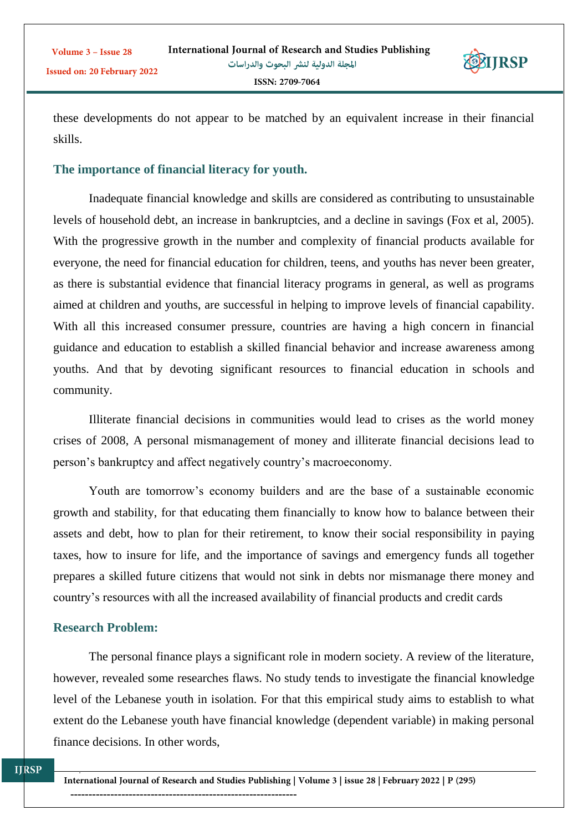

these developments do not appear to be matched by an equivalent increase in their financial skills.

#### **The importance of financial literacy for youth.**

Inadequate financial knowledge and skills are considered as contributing to unsustainable levels of household debt, an increase in bankruptcies, and a decline in savings (Fox et al, 2005). With the progressive growth in the number and complexity of financial products available for everyone, the need for financial education for children, teens, and youths has never been greater, as there is substantial evidence that financial literacy programs in general, as well as programs aimed at children and youths, are successful in helping to improve levels of financial capability. With all this increased consumer pressure, countries are having a high concern in financial guidance and education to establish a skilled financial behavior and increase awareness among youths. And that by devoting significant resources to financial education in schools and community.

Illiterate financial decisions in communities would lead to crises as the world money crises of 2008, A personal mismanagement of money and illiterate financial decisions lead to person's bankruptcy and affect negatively country's macroeconomy.

Youth are tomorrow's economy builders and are the base of a sustainable economic growth and stability, for that educating them financially to know how to balance between their assets and debt, how to plan for their retirement, to know their social responsibility in paying taxes, how to insure for life, and the importance of savings and emergency funds all together prepares a skilled future citizens that would not sink in debts nor mismanage there money and country's resources with all the increased availability of financial products and credit cards

# **Research Problem:**

The personal finance plays a significant role in modern society. A review of the literature, however, revealed some researches flaws. No study tends to investigate the financial knowledge level of the Lebanese youth in isolation. For that this empirical study aims to establish to what extent do the Lebanese youth have financial knowledge (dependent variable) in making personal finance decisions. In other words,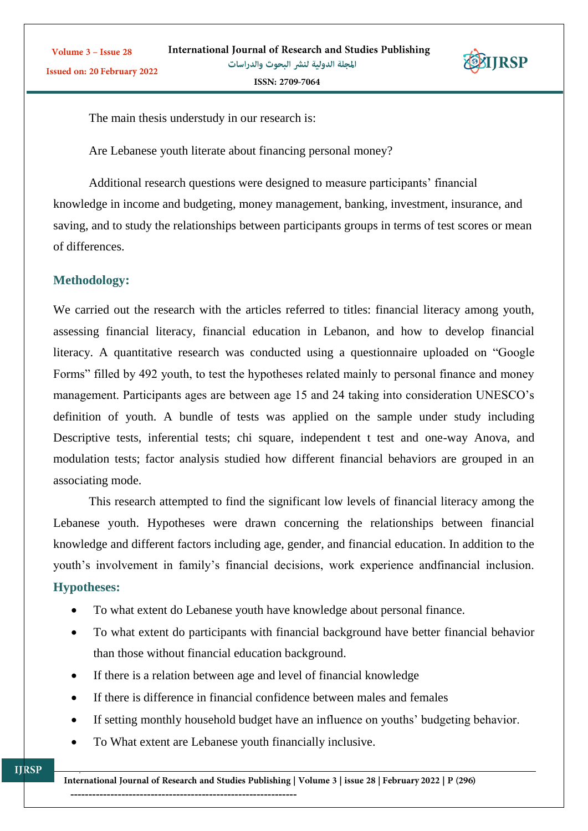

The main thesis understudy in our research is:

Are Lebanese youth literate about financing personal money?

Additional research questions were designed to measure participants' financial knowledge in income and budgeting, money management, banking, investment, insurance, and saving, and to study the relationships between participants groups in terms of test scores or mean of differences.

# **Methodology:**

Volume 3 - Issue 28

We carried out the research with the articles referred to titles: financial literacy among youth, assessing financial literacy, financial education in Lebanon, and how to develop financial literacy. A quantitative research was conducted using a questionnaire uploaded on "Google Forms" filled by 492 youth, to test the hypotheses related mainly to personal finance and money management. Participants ages are between age 15 and 24 taking into consideration UNESCO's definition of youth. A bundle of tests was applied on the sample under study including Descriptive tests, inferential tests; chi square, independent t test and one-way Anova, and modulation tests; factor analysis studied how different financial behaviors are grouped in an associating mode.

This research attempted to find the significant low levels of financial literacy among the Lebanese youth. Hypotheses were drawn concerning the relationships between financial knowledge and different factors including age, gender, and financial education. In addition to the youth's involvement in family's financial decisions, work experience andfinancial inclusion. **Hypotheses:**

- To what extent do Lebanese youth have knowledge about personal finance.
- To what extent do participants with financial background have better financial behavior than those without financial education background.
- If there is a relation between age and level of financial knowledge
- If there is difference in financial confidence between males and females
- If setting monthly household budget have an influence on youths' budgeting behavior.
- To What extent are Lebanese youth financially inclusive.

--------------------------------------------------------------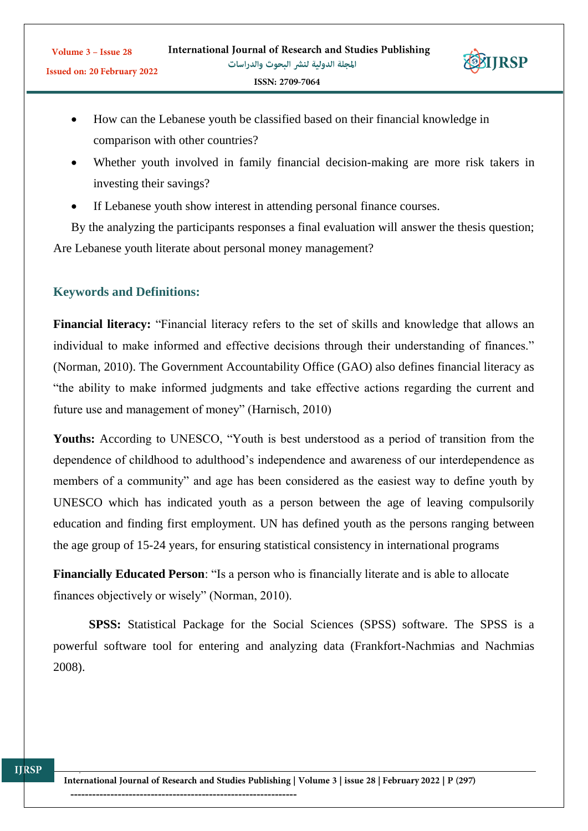

- How can the Lebanese youth be classified based on their financial knowledge in comparison with other countries?
- Whether youth involved in family financial decision-making are more risk takers in investing their savings?
- If Lebanese youth show interest in attending personal finance courses.

By the analyzing the participants responses a final evaluation will answer the thesis question; Are Lebanese youth literate about personal money management?

# **Keywords and Definitions:**

**Financial literacy:** "Financial literacy refers to the set of skills and knowledge that allows an individual to make informed and effective decisions through their understanding of finances." (Norman, 2010). The Government Accountability Office (GAO) also defines financial literacy as "the ability to make informed judgments and take effective actions regarding the current and future use and management of money" (Harnisch, 2010)

Youths: According to UNESCO, "Youth is best understood as a period of transition from the dependence of childhood to adulthood's independence and awareness of our interdependence as members of a community" and age has been considered as the easiest way to define youth by UNESCO which has indicated youth as a person between the age of leaving compulsorily education and finding first employment. UN has defined youth as the persons ranging between the age group of 15-24 years, for ensuring statistical consistency in international programs

**Financially Educated Person**: "Is a person who is financially literate and is able to allocate finances objectively or wisely" (Norman, 2010).

**SPSS:** Statistical Package for the Social Sciences (SPSS) software. The SPSS is a powerful software tool for entering and analyzing data (Frankfort-Nachmias and Nachmias 2008).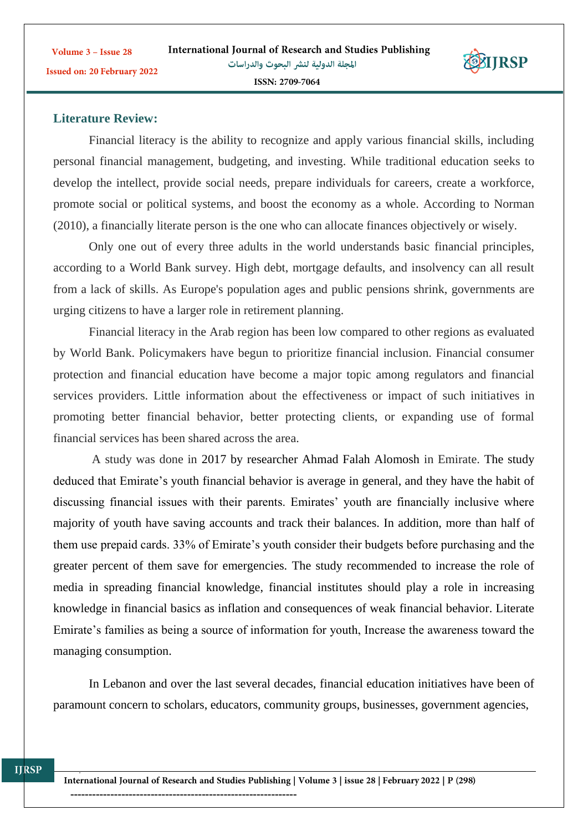

# **Literature Review:**

Volume 3 - Issue 28

Financial literacy is the ability to recognize and apply various financial skills, including personal financial management, budgeting, and investing. While traditional education seeks to develop the intellect, provide social needs, prepare individuals for careers, create a workforce, promote social or political systems, and boost the economy as a whole. According to Norman (2010), a financially literate person is the one who can allocate finances objectively or wisely.

Only one out of every three adults in the world understands basic financial principles, according to a World Bank survey. High debt, mortgage defaults, and insolvency can all result from a lack of skills. As Europe's population ages and public pensions shrink, governments are urging citizens to have a larger role in retirement planning.

Financial literacy in the Arab region has been low compared to other regions as evaluated by World Bank. Policymakers have begun to prioritize financial inclusion. Financial consumer protection and financial education have become a major topic among regulators and financial services providers. Little information about the effectiveness or impact of such initiatives in promoting better financial behavior, better protecting clients, or expanding use of formal financial services has been shared across the area.

A study was done in 2017 by researcher Ahmad Falah Alomosh in Emirate. The study deduced that Emirate's youth financial behavior is average in general, and they have the habit of discussing financial issues with their parents. Emirates' youth are financially inclusive where majority of youth have saving accounts and track their balances. In addition, more than half of them use prepaid cards. 33% of Emirate's youth consider their budgets before purchasing and the greater percent of them save for emergencies. The study recommended to increase the role of media in spreading financial knowledge, financial institutes should play a role in increasing knowledge in financial basics as inflation and consequences of weak financial behavior. Literate Emirate's families as being a source of information for youth, Increase the awareness toward the managing consumption.

In Lebanon and over the last several decades, financial education initiatives have been of paramount concern to scholars, educators, community groups, businesses, government agencies,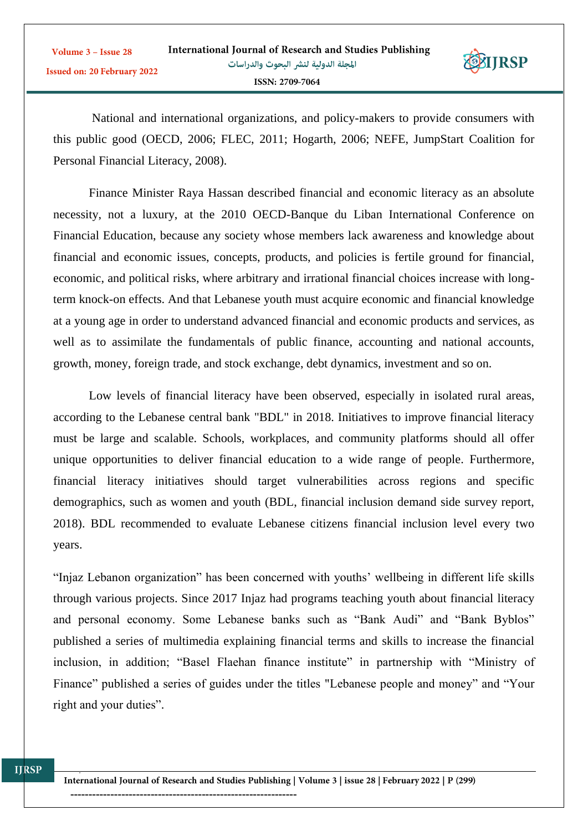

National and international organizations, and policy-makers to provide consumers with this public good (OECD, 2006; FLEC, 2011; Hogarth, 2006; NEFE, JumpStart Coalition for Personal Financial Literacy, 2008).

Finance Minister Raya Hassan described financial and economic literacy as an absolute necessity, not a luxury, at the 2010 OECD-Banque du Liban International Conference on Financial Education, because any society whose members lack awareness and knowledge about financial and economic issues, concepts, products, and policies is fertile ground for financial, economic, and political risks, where arbitrary and irrational financial choices increase with longterm knock-on effects. And that Lebanese youth must acquire economic and financial knowledge at a young age in order to understand advanced financial and economic products and services, as well as to assimilate the fundamentals of public finance, accounting and national accounts, growth, money, foreign trade, and stock exchange, debt dynamics, investment and so on.

Low levels of financial literacy have been observed, especially in isolated rural areas, according to the Lebanese central bank "BDL" in 2018. Initiatives to improve financial literacy must be large and scalable. Schools, workplaces, and community platforms should all offer unique opportunities to deliver financial education to a wide range of people. Furthermore, financial literacy initiatives should target vulnerabilities across regions and specific demographics, such as women and youth (BDL, financial inclusion demand side survey report, 2018). BDL recommended to evaluate Lebanese citizens financial inclusion level every two years.

"Injaz Lebanon organization" has been concerned with youths' wellbeing in different life skills through various projects. Since 2017 Injaz had programs teaching youth about financial literacy and personal economy. Some Lebanese banks such as "Bank Audi" and "Bank Byblos" published a series of multimedia explaining financial terms and skills to increase the financial inclusion, in addition; "Basel Flaehan finance institute" in partnership with "Ministry of Finance" published a series of guides under the titles "Lebanese people and money" and "Your right and your duties".

--------------------------------------------------------------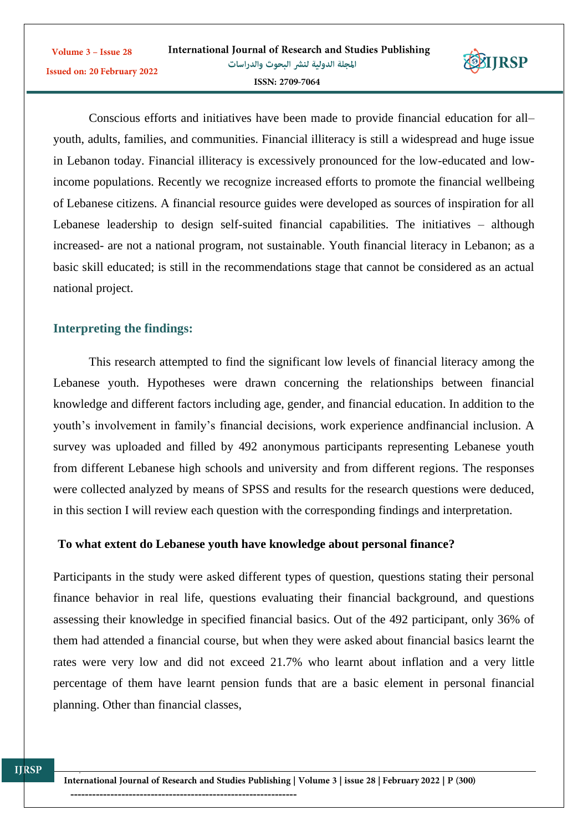

Conscious efforts and initiatives have been made to provide financial education for all– youth, adults, families, and communities. Financial illiteracy is still a widespread and huge issue in Lebanon today. Financial illiteracy is excessively pronounced for the low-educated and lowincome populations. Recently we recognize increased efforts to promote the financial wellbeing of Lebanese citizens. A financial resource guides were developed as sources of inspiration for all Lebanese leadership to design self-suited financial capabilities. The initiatives – although increased- are not a national program, not sustainable. Youth financial literacy in Lebanon; as a basic skill educated; is still in the recommendations stage that cannot be considered as an actual national project.

# **Interpreting the findings:**

This research attempted to find the significant low levels of financial literacy among the Lebanese youth. Hypotheses were drawn concerning the relationships between financial knowledge and different factors including age, gender, and financial education. In addition to the youth's involvement in family's financial decisions, work experience andfinancial inclusion. A survey was uploaded and filled by 492 anonymous participants representing Lebanese youth from different Lebanese high schools and university and from different regions. The responses were collected analyzed by means of SPSS and results for the research questions were deduced, in this section I will review each question with the corresponding findings and interpretation.

# **To what extent do Lebanese youth have knowledge about personal finance?**

Participants in the study were asked different types of question, questions stating their personal finance behavior in real life, questions evaluating their financial background, and questions assessing their knowledge in specified financial basics. Out of the 492 participant, only 36% of them had attended a financial course, but when they were asked about financial basics learnt the rates were very low and did not exceed 21.7% who learnt about inflation and a very little percentage of them have learnt pension funds that are a basic element in personal financial planning. Other than financial classes,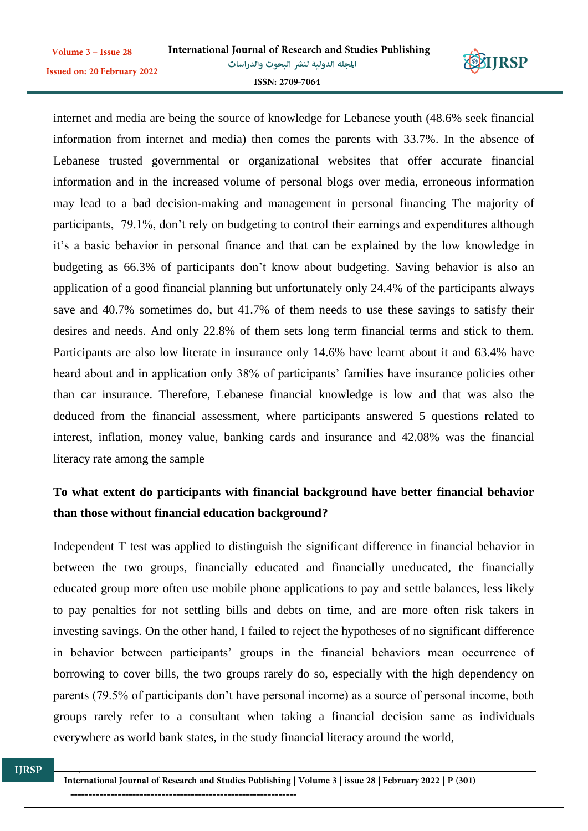| Volume 3 – Issue 28                | International Journal of Research and Studies Publishing |
|------------------------------------|----------------------------------------------------------|
| <b>Issued on: 20 February 2022</b> | المجلة الدولية لنشر البحوث والدراسات                     |
|                                    | ISSN: 2709-7064                                          |



internet and media are being the source of knowledge for Lebanese youth (48.6% seek financial information from internet and media) then comes the parents with 33.7%. In the absence of Lebanese trusted governmental or organizational websites that offer accurate financial information and in the increased volume of personal blogs over media, erroneous information may lead to a bad decision-making and management in personal financing The majority of participants, 79.1%, don't rely on budgeting to control their earnings and expenditures although it's a basic behavior in personal finance and that can be explained by the low knowledge in budgeting as 66.3% of participants don't know about budgeting. Saving behavior is also an application of a good financial planning but unfortunately only 24.4% of the participants always save and 40.7% sometimes do, but 41.7% of them needs to use these savings to satisfy their desires and needs. And only 22.8% of them sets long term financial terms and stick to them. Participants are also low literate in insurance only 14.6% have learnt about it and 63.4% have heard about and in application only 38% of participants' families have insurance policies other than car insurance. Therefore, Lebanese financial knowledge is low and that was also the deduced from the financial assessment, where participants answered 5 questions related to interest, inflation, money value, banking cards and insurance and 42.08% was the financial literacy rate among the sample

# **To what extent do participants with financial background have better financial behavior than those without financial education background?**

Independent T test was applied to distinguish the significant difference in financial behavior in between the two groups, financially educated and financially uneducated, the financially educated group more often use mobile phone applications to pay and settle balances, less likely to pay penalties for not settling bills and debts on time, and are more often risk takers in investing savings. On the other hand, I failed to reject the hypotheses of no significant difference in behavior between participants' groups in the financial behaviors mean occurrence of borrowing to cover bills, the two groups rarely do so, especially with the high dependency on parents (79.5% of participants don't have personal income) as a source of personal income, both groups rarely refer to a consultant when taking a financial decision same as individuals everywhere as world bank states, in the study financial literacy around the world,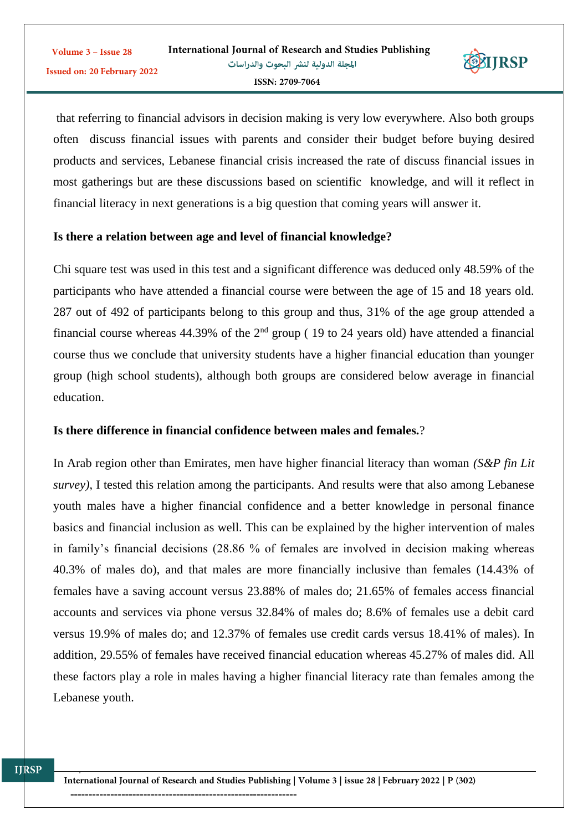

that referring to financial advisors in decision making is very low everywhere. Also both groups often discuss financial issues with parents and consider their budget before buying desired products and services, Lebanese financial crisis increased the rate of discuss financial issues in most gatherings but are these discussions based on scientific knowledge, and will it reflect in financial literacy in next generations is a big question that coming years will answer it.

#### **Is there a relation between age and level of financial knowledge?**

Chi square test was used in this test and a significant difference was deduced only 48.59% of the participants who have attended a financial course were between the age of 15 and 18 years old. 287 out of 492 of participants belong to this group and thus, 31% of the age group attended a financial course whereas  $44.39\%$  of the  $2<sup>nd</sup>$  group (19 to 24 years old) have attended a financial course thus we conclude that university students have a higher financial education than younger group (high school students), although both groups are considered below average in financial education.

#### **Is there difference in financial confidence between males and females.**?

In Arab region other than Emirates, men have higher financial literacy than woman *(S&P fin Lit survey)*, I tested this relation among the participants. And results were that also among Lebanese youth males have a higher financial confidence and a better knowledge in personal finance basics and financial inclusion as well. This can be explained by the higher intervention of males in family's financial decisions (28.86 % of females are involved in decision making whereas 40.3% of males do), and that males are more financially inclusive than females (14.43% of females have a saving account versus 23.88% of males do; 21.65% of females access financial accounts and services via phone versus 32.84% of males do; 8.6% of females use a debit card versus 19.9% of males do; and 12.37% of females use credit cards versus 18.41% of males). In addition, 29.55% of females have received financial education whereas 45.27% of males did. All these factors play a role in males having a higher financial literacy rate than females among the Lebanese youth.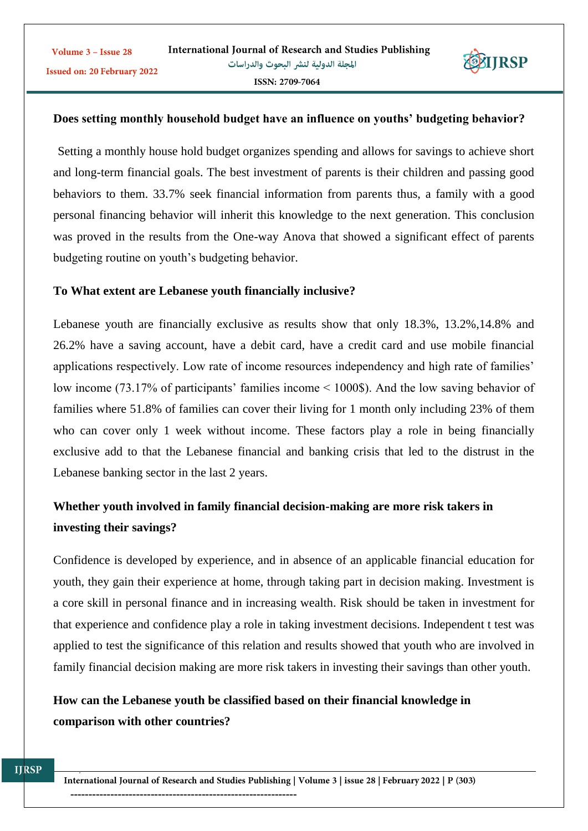

#### **Does setting monthly household budget have an influence on youths' budgeting behavior?**

Setting a monthly house hold budget organizes spending and allows for savings to achieve short and long-term financial goals. The best investment of parents is their children and passing good behaviors to them. 33.7% seek financial information from parents thus, a family with a good personal financing behavior will inherit this knowledge to the next generation. This conclusion was proved in the results from the One-way Anova that showed a significant effect of parents budgeting routine on youth's budgeting behavior.

#### **To What extent are Lebanese youth financially inclusive?**

Lebanese youth are financially exclusive as results show that only 18.3%, 13.2%,14.8% and 26.2% have a saving account, have a debit card, have a credit card and use mobile financial applications respectively. Low rate of income resources independency and high rate of families' low income (73.17% of participants' families income < 1000\$). And the low saving behavior of families where 51.8% of families can cover their living for 1 month only including 23% of them who can cover only 1 week without income. These factors play a role in being financially exclusive add to that the Lebanese financial and banking crisis that led to the distrust in the Lebanese banking sector in the last 2 years.

# **Whether youth involved in family financial decision-making are more risk takers in investing their savings?**

Confidence is developed by experience, and in absence of an applicable financial education for youth, they gain their experience at home, through taking part in decision making. Investment is a core skill in personal finance and in increasing wealth. Risk should be taken in investment for that experience and confidence play a role in taking investment decisions. Independent t test was applied to test the significance of this relation and results showed that youth who are involved in family financial decision making are more risk takers in investing their savings than other youth.

# **How can the Lebanese youth be classified based on their financial knowledge in comparison with other countries?**

--------------------------------------------------------------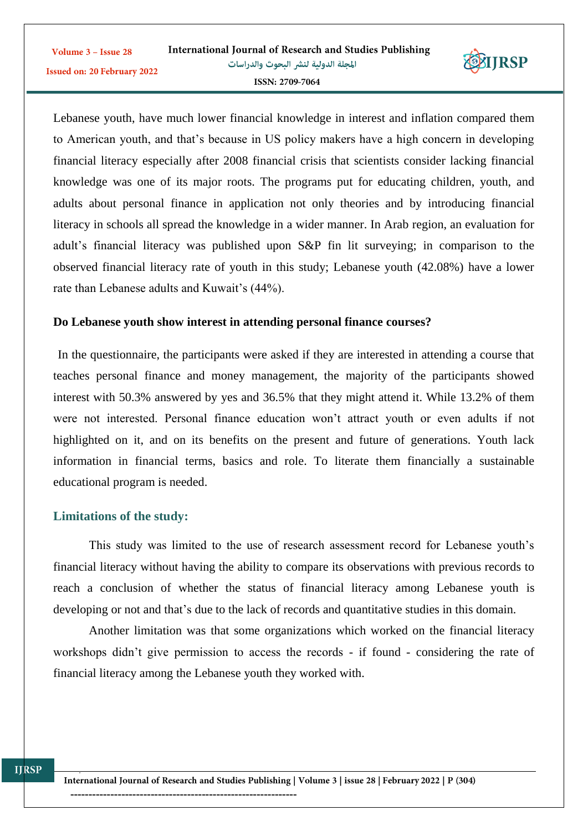

Lebanese youth, have much lower financial knowledge in interest and inflation compared them to American youth, and that's because in US policy makers have a high concern in developing financial literacy especially after 2008 financial crisis that scientists consider lacking financial knowledge was one of its major roots. The programs put for educating children, youth, and adults about personal finance in application not only theories and by introducing financial literacy in schools all spread the knowledge in a wider manner. In Arab region, an evaluation for adult's financial literacy was published upon S&P fin lit surveying; in comparison to the observed financial literacy rate of youth in this study; Lebanese youth (42.08%) have a lower rate than Lebanese adults and Kuwait's (44%).

#### **Do Lebanese youth show interest in attending personal finance courses?**

In the questionnaire, the participants were asked if they are interested in attending a course that teaches personal finance and money management, the majority of the participants showed interest with 50.3% answered by yes and 36.5% that they might attend it. While 13.2% of them were not interested. Personal finance education won't attract youth or even adults if not highlighted on it, and on its benefits on the present and future of generations. Youth lack information in financial terms, basics and role. To literate them financially a sustainable educational program is needed.

# **Limitations of the study:**

This study was limited to the use of research assessment record for Lebanese youth's financial literacy without having the ability to compare its observations with previous records to reach a conclusion of whether the status of financial literacy among Lebanese youth is developing or not and that's due to the lack of records and quantitative studies in this domain.

Another limitation was that some organizations which worked on the financial literacy workshops didn't give permission to access the records - if found - considering the rate of financial literacy among the Lebanese youth they worked with.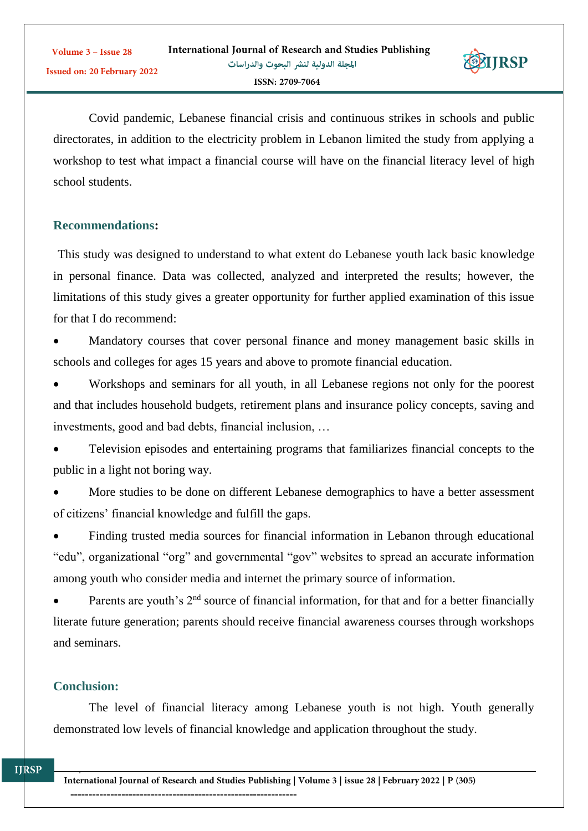

Covid pandemic, Lebanese financial crisis and continuous strikes in schools and public directorates, in addition to the electricity problem in Lebanon limited the study from applying a workshop to test what impact a financial course will have on the financial literacy level of high school students.

# **Recommendations:**

This study was designed to understand to what extent do Lebanese youth lack basic knowledge in personal finance. Data was collected, analyzed and interpreted the results; however, the limitations of this study gives a greater opportunity for further applied examination of this issue for that I do recommend:

 Mandatory courses that cover personal finance and money management basic skills in schools and colleges for ages 15 years and above to promote financial education.

 Workshops and seminars for all youth, in all Lebanese regions not only for the poorest and that includes household budgets, retirement plans and insurance policy concepts, saving and investments, good and bad debts, financial inclusion, …

 Television episodes and entertaining programs that familiarizes financial concepts to the public in a light not boring way.

 More studies to be done on different Lebanese demographics to have a better assessment of citizens' financial knowledge and fulfill the gaps.

 Finding trusted media sources for financial information in Lebanon through educational "edu", organizational "org" and governmental "gov" websites to spread an accurate information among youth who consider media and internet the primary source of information.

Parents are youth's  $2<sup>nd</sup>$  source of financial information, for that and for a better financially literate future generation; parents should receive financial awareness courses through workshops and seminars.

# **Conclusion:**

The level of financial literacy among Lebanese youth is not high. Youth generally demonstrated low levels of financial knowledge and application throughout the study.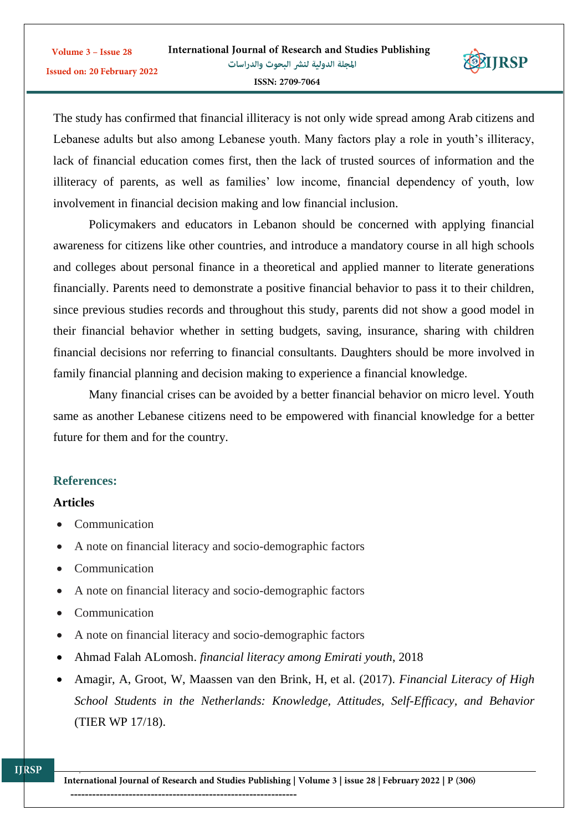

The study has confirmed that financial illiteracy is not only wide spread among Arab citizens and Lebanese adults but also among Lebanese youth. Many factors play a role in youth's illiteracy, lack of financial education comes first, then the lack of trusted sources of information and the illiteracy of parents, as well as families' low income, financial dependency of youth, low involvement in financial decision making and low financial inclusion.

Policymakers and educators in Lebanon should be concerned with applying financial awareness for citizens like other countries, and introduce a mandatory course in all high schools and colleges about personal finance in a theoretical and applied manner to literate generations financially. Parents need to demonstrate a positive financial behavior to pass it to their children, since previous studies records and throughout this study, parents did not show a good model in their financial behavior whether in setting budgets, saving, insurance, sharing with children financial decisions nor referring to financial consultants. Daughters should be more involved in family financial planning and decision making to experience a financial knowledge.

Many financial crises can be avoided by a better financial behavior on micro level. Youth same as another Lebanese citizens need to be empowered with financial knowledge for a better future for them and for the country.

# **References:**

#### **Articles**

**IJRSP** 

- Communication
- A note on financial literacy and socio-demographic factors
- Communication
- A note on financial literacy and socio-demographic factors
- Communication
- A note on financial literacy and socio-demographic factors
- Ahmad Falah ALomosh. *financial literacy among Emirati youth*, 2018
- Amagir, A, Groot, W, Maassen van den Brink, H, et al. (2017). *Financial Literacy of High School Students in the Netherlands: Knowledge, Attitudes, Self-Efficacy, and Behavior* (TIER WP 17/18).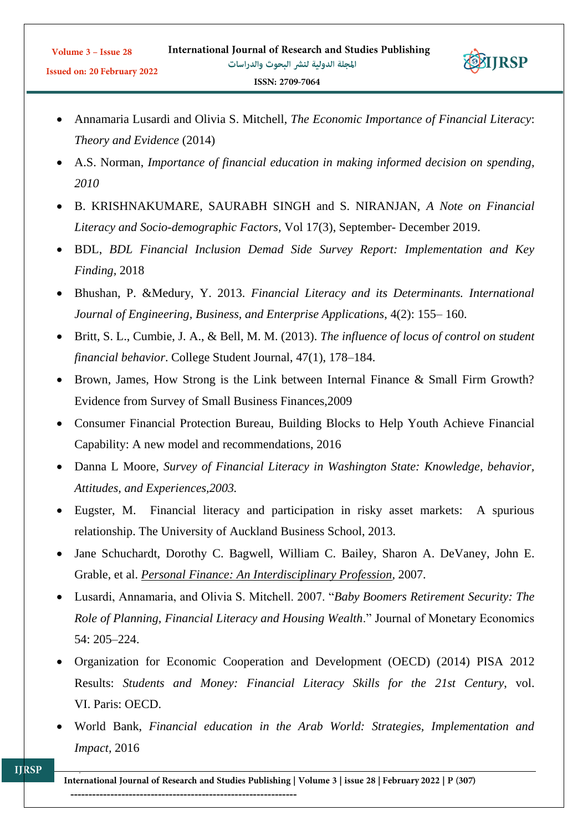

- Annamaria Lusardi and Olivia S. Mitchell, *The Economic Importance of Financial Literacy*: *Theory and Evidence* (2014)
- A.S. Norman, *Importance of financial education in making informed decision on spending, 2010*
- B. KRISHNAKUMARE, SAURABH SINGH and S. NIRANJAN, *A Note on Financial Literacy and Socio-demographic Factors,* Vol 17(3), September- December 2019.
- BDL, *BDL Financial Inclusion Demad Side Survey Report: Implementation and Key Finding,* 2018
- Bhushan, P. &Medury, Y. 2013. *Financial Literacy and its Determinants. International Journal of Engineering, Business, and Enterprise Applications*, 4(2): 155– 160.
- Britt, S. L., Cumbie, J. A., & Bell, M. M. (2013). *The influence of locus of control on student financial behavior*. College Student Journal, 47(1), 178–184.
- Brown, James, How Strong is the Link between Internal Finance & Small Firm Growth? Evidence from Survey of Small Business Finances,2009
- Consumer Financial Protection Bureau, Building Blocks to Help Youth Achieve Financial Capability: A new model and recommendations, 2016
- Danna L Moore, *[Survey of Financial Literacy in Washington State: Knowledge, behavior,](https://www.researchgate.net/institution/Washington-State-University)  [Attitudes, and Experiences,2003.](https://www.researchgate.net/institution/Washington-State-University)*
- Eugster, M. Financial literacy and participation in risky asset markets: A spurious relationship. The University of Auckland Business School, 2013.
- Jane Schuchardt, Dorothy C. Bagwell, William C. Bailey, Sharon A. DeVaney, John E. Grable, et al. *Personal Finance: An [Interdisciplinary](https://digitalcommons.uri.edu/cgi/viewcontent.cgi?article=1008&context=hdf_facpubs) Profession,* 2007.
- Lusardi, Annamaria, and Olivia S. Mitchell. 2007. "*Baby Boomers Retirement Security: The Role of Planning, Financial Literacy and Housing Wealth*." Journal of Monetary Economics 54: 205–224.
- Organization for Economic Cooperation and Development (OECD) (2014) PISA 2012 Results: *Students and Money: Financial Literacy Skills for the 21st Century*, vol. VI. Paris: OECD.
- World Bank, *Financial education in the Arab World: Strategies, Implementation and Impact,* 2016

International Journal of Research and Studies Publishing | Volume 3 | issue 28 | February 2022 | P (307)

--------------------------------------------------------------